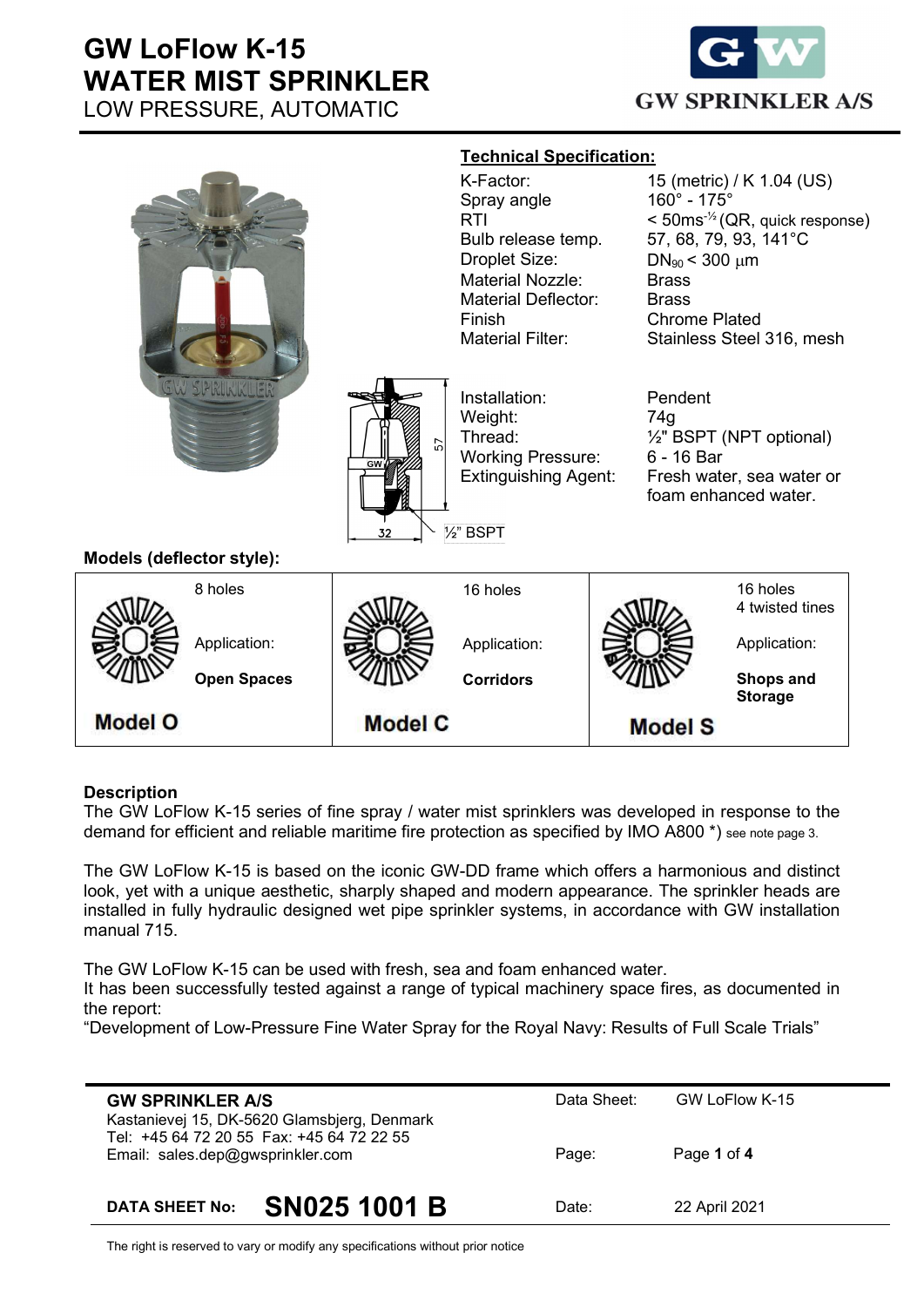

|                                                 |                    |                                   | <b>Technical Specification:</b>                                                                                        |                                                   |                                                                                                      |  |
|-------------------------------------------------|--------------------|-----------------------------------|------------------------------------------------------------------------------------------------------------------------|---------------------------------------------------|------------------------------------------------------------------------------------------------------|--|
|                                                 |                    |                                   | K-Factor:                                                                                                              |                                                   | 15 (metric) / K 1.04 (US)                                                                            |  |
|                                                 |                    |                                   | Spray angle<br>RTI                                                                                                     |                                                   | $160^{\circ}$ - 175 $^{\circ}$<br>$<$ 50ms <sup>-<math>\frac{1}{2}</math></sup> (QR, quick response) |  |
|                                                 |                    |                                   | Bulb release temp.                                                                                                     | 57, 68, 79, 93, 141°C                             |                                                                                                      |  |
|                                                 |                    |                                   | Droplet Size:                                                                                                          | $DN_{90}$ < 300 $\mu$ m                           |                                                                                                      |  |
|                                                 |                    |                                   | <b>Material Nozzle:</b>                                                                                                | <b>Brass</b>                                      |                                                                                                      |  |
|                                                 |                    |                                   | <b>Material Deflector:</b>                                                                                             |                                                   | <b>Brass</b>                                                                                         |  |
|                                                 |                    | Finish<br><b>Material Filter:</b> |                                                                                                                        | <b>Chrome Plated</b><br>Stainless Steel 316, mesh |                                                                                                      |  |
|                                                 |                    |                                   |                                                                                                                        |                                                   |                                                                                                      |  |
| <b>SW SPRINKLE</b><br>Models (deflector style): |                    | 57<br>GW<br>32                    | Installation:<br>Weight:<br>Thread:<br><b>Working Pressure:</b><br><b>Extinguishing Agent:</b><br>$\frac{1}{2}$ " BSPT | Pendent<br>74g<br>6 - 16 Bar                      | 1/2" BSPT (NPT optional)<br>Fresh water, sea water or<br>foam enhanced water.                        |  |
|                                                 | 8 holes            |                                   | 16 holes                                                                                                               |                                                   | 16 holes                                                                                             |  |
|                                                 |                    |                                   |                                                                                                                        |                                                   | 4 twisted tines                                                                                      |  |
|                                                 | Application:       |                                   | Application:                                                                                                           |                                                   | Application:                                                                                         |  |
|                                                 | <b>Open Spaces</b> |                                   | <b>Corridors</b>                                                                                                       |                                                   | <b>Shops and</b><br><b>Storage</b>                                                                   |  |
| <b>Model O</b>                                  |                    | <b>Model C</b>                    |                                                                                                                        | <b>Model S</b>                                    |                                                                                                      |  |

#### **Description**

The GW LoFlow K-15 series of fine spray / water mist sprinklers was developed in response to the demand for efficient and reliable maritime fire protection as specified by IMO A800 \*) see note page 3.

The GW LoFlow K-15 is based on the iconic GW-DD frame which offers a harmonious and distinct look, yet with a unique aesthetic, sharply shaped and modern appearance. The sprinkler heads are installed in fully hydraulic designed wet pipe sprinkler systems, in accordance with GW installation manual 715.

The GW LoFlow K-15 can be used with fresh, sea and foam enhanced water.

It has been successfully tested against a range of typical machinery space fires, as documented in the report:

"Development of Low-Pressure Fine Water Spray for the Royal Navy: Results of Full Scale Trials"

| <b>GW SPRINKLER A/S</b><br>Kastanievej 15, DK-5620 Glamsbjerg, Denmark        | Data Sheet: | GW LoFlow K-15 |
|-------------------------------------------------------------------------------|-------------|----------------|
| Tel: +45 64 72 20 55 Fax: +45 64 72 22 55<br>Email: sales.dep@gwsprinkler.com | Page:       | Page 1 of 4    |
| <b>SN025 1001 B</b><br><b>DATA SHEET No:</b>                                  | Date:       | 22 April 2021  |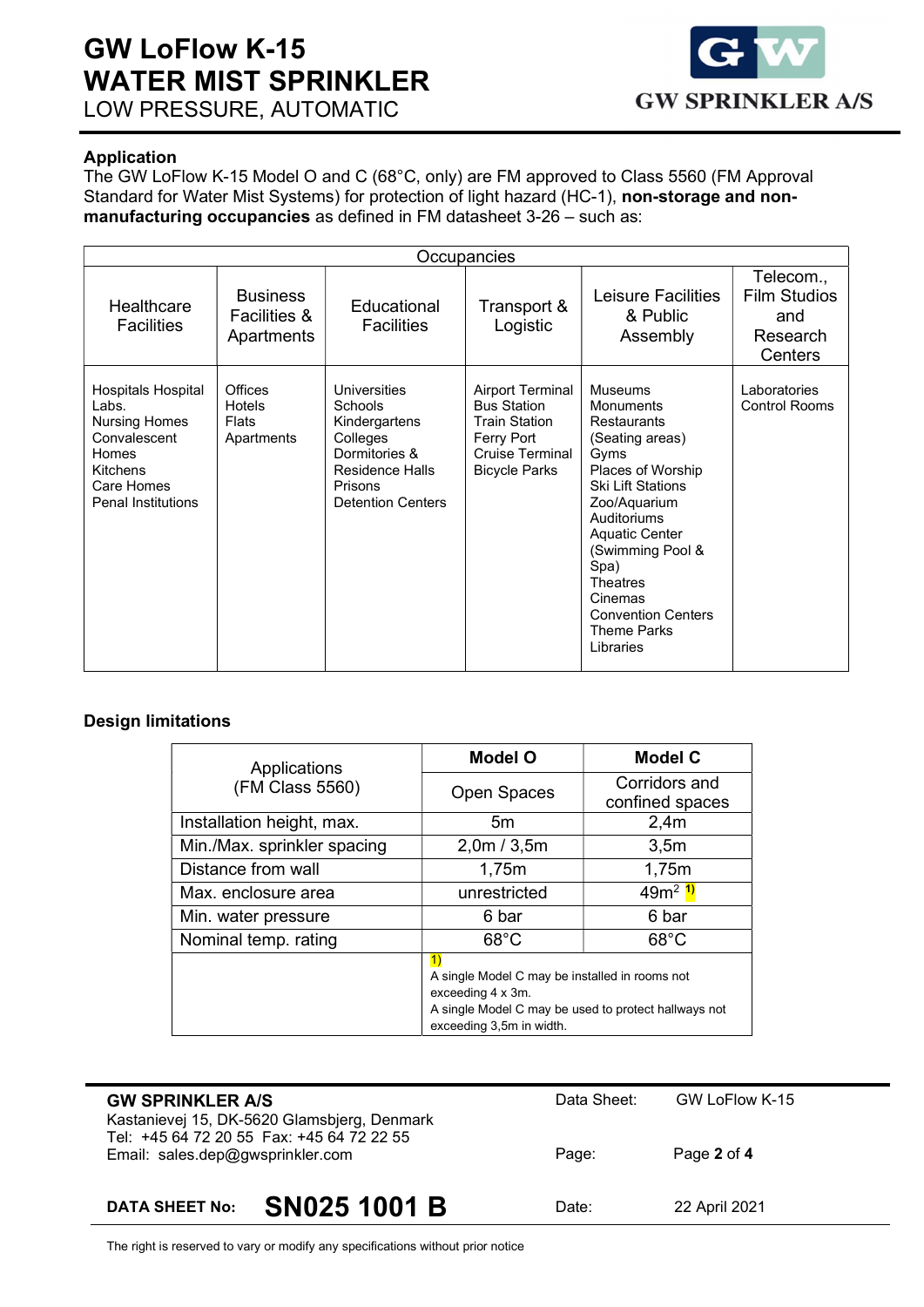

### Application

The GW LoFlow K-15 Model O and C (68°C, only) are FM approved to Class 5560 (FM Approval Standard for Water Mist Systems) for protection of light hazard (HC-1), non-storage and nonmanufacturing occupancies as defined in FM datasheet 3-26 – such as:

| Occupancies                                                                                                                                |                                                          |                                                                                                                                        |                                                                                                                                |                                                                                                                                                                                                                                                                                                   |                                                                |
|--------------------------------------------------------------------------------------------------------------------------------------------|----------------------------------------------------------|----------------------------------------------------------------------------------------------------------------------------------------|--------------------------------------------------------------------------------------------------------------------------------|---------------------------------------------------------------------------------------------------------------------------------------------------------------------------------------------------------------------------------------------------------------------------------------------------|----------------------------------------------------------------|
| Healthcare<br><b>Facilities</b>                                                                                                            | <b>Business</b><br><b>Facilities &amp;</b><br>Apartments | Educational<br><b>Facilities</b>                                                                                                       | Transport &<br>Logistic                                                                                                        | Leisure Facilities<br>& Public<br>Assembly                                                                                                                                                                                                                                                        | Telecom.,<br><b>Film Studios</b><br>and<br>Research<br>Centers |
| <b>Hospitals Hospital</b><br>Labs.<br><b>Nursing Homes</b><br>Convalescent<br>Homes<br>Kitchens<br>Care Homes<br><b>Penal Institutions</b> | Offices<br>Hotels<br><b>Flats</b><br>Apartments          | Universities<br>Schools<br>Kindergartens<br>Colleges<br>Dormitories &<br><b>Residence Halls</b><br>Prisons<br><b>Detention Centers</b> | <b>Airport Terminal</b><br><b>Bus Station</b><br><b>Train Station</b><br>Ferry Port<br>Cruise Terminal<br><b>Bicycle Parks</b> | Museums<br>Monuments<br><b>Restaurants</b><br>(Seating areas)<br>Gyms<br>Places of Worship<br><b>Ski Lift Stations</b><br>Zoo/Aquarium<br>Auditoriums<br><b>Aquatic Center</b><br>(Swimming Pool &<br>Spa)<br>Theatres<br>Cinemas<br><b>Convention Centers</b><br><b>Theme Parks</b><br>Libraries | Laboratories<br><b>Control Rooms</b>                           |

### Design limitations

| Applications                | <b>Model O</b>                                                                                                                                                | <b>Model C</b>                   |
|-----------------------------|---------------------------------------------------------------------------------------------------------------------------------------------------------------|----------------------------------|
| (FM Class 5560)             | Open Spaces                                                                                                                                                   | Corridors and<br>confined spaces |
| Installation height, max.   | 5m                                                                                                                                                            | 2,4m                             |
| Min./Max. sprinkler spacing | 2,0m / 3,5m                                                                                                                                                   | 3,5m                             |
| Distance from wall          | 1,75m                                                                                                                                                         | 1,75m                            |
| Max. enclosure area         | unrestricted                                                                                                                                                  | 49m <sup>2</sup> <sup>1)</sup>   |
| Min. water pressure         | 6 bar                                                                                                                                                         | 6 bar                            |
| Nominal temp. rating        | $68^{\circ}$ C                                                                                                                                                | $68^{\circ}$ C                   |
|                             | 1)<br>A single Model C may be installed in rooms not<br>exceeding 4 x 3m.<br>A single Model C may be used to protect hallways not<br>exceeding 3,5m in width. |                                  |

| <b>GW SPRINKLER A/S</b><br>Kastanievej 15, DK-5620 Glamsbjerg, Denmark<br>Tel: +45 64 72 20 55 Fax: +45 64 72 22 55 | Data Sheet: | GW LoFlow K-15 |
|---------------------------------------------------------------------------------------------------------------------|-------------|----------------|
| Email: sales.dep@gwsprinkler.com                                                                                    | Page:       | Page 2 of 4    |
| SN025 1001 B<br><b>DATA SHEET No:</b>                                                                               | Date:       | 22 April 2021  |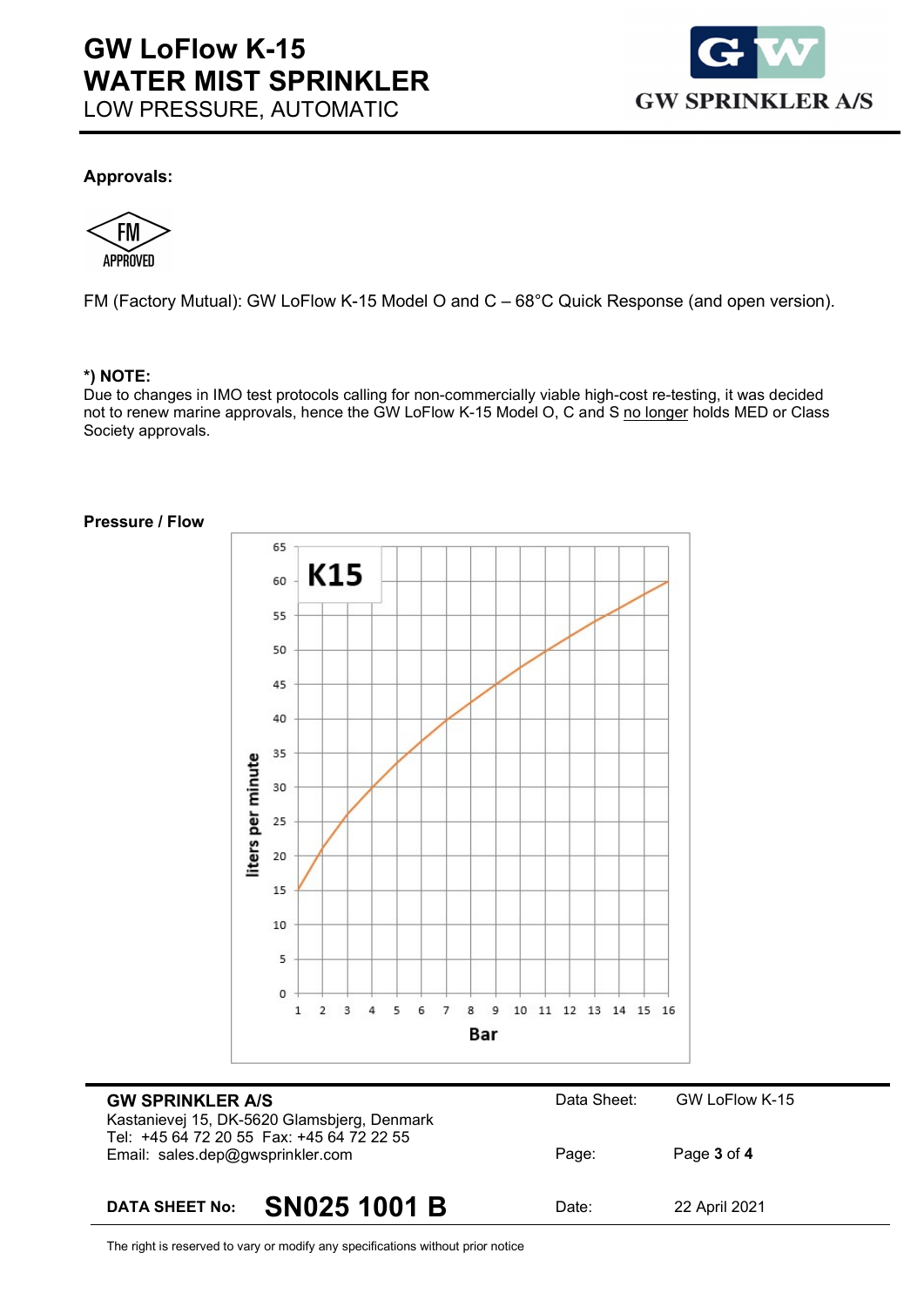

#### Approvals:

ΗM **APPROVED** 

FM (Factory Mutual): GW LoFlow K-15 Model O and C – 68°C Quick Response (and open version).

#### \*) NOTE:

Due to changes in IMO test protocols calling for non-commercially viable high-cost re-testing, it was decided not to renew marine approvals, hence the GW LoFlow K-15 Model O, C and S no longer holds MED or Class Society approvals.